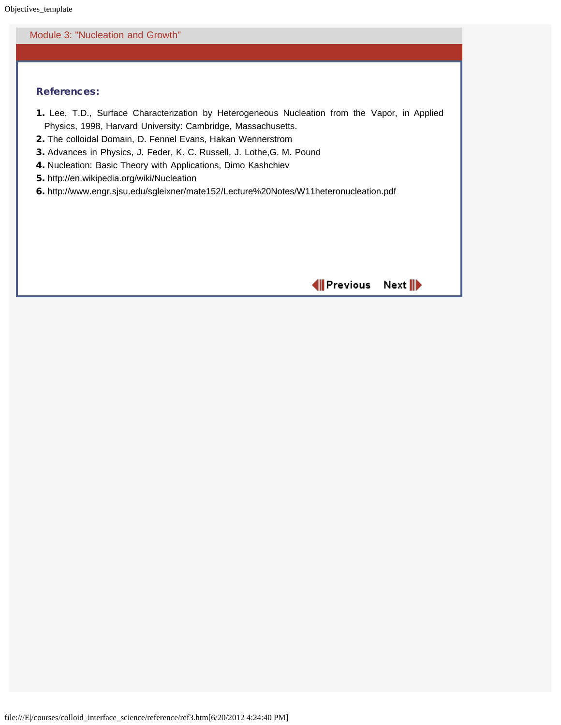## Module 3: "Nucleation and Growth"

## References:

- 1. Lee, T.D., Surface Characterization by Heterogeneous Nucleation from the Vapor, in Applied Physics, 1998, Harvard University: Cambridge, Massachusetts.
- 2. The colloidal Domain, D. Fennel Evans, Hakan Wennerstrom
- 3. Advances in Physics, J. Feder, K. C. Russell, J. Lothe,G. M. Pound
- 4. Nucleation: Basic Theory with Applications, Dimo Kashchiev
- 5. http://en.wikipedia.org/wiki/Nucleation
- 6. http://www.engr.sjsu.edu/sgleixner/mate152/Lecture%20Notes/W11heteronucleation.pdf

MPrevious Next<sup>III</sup>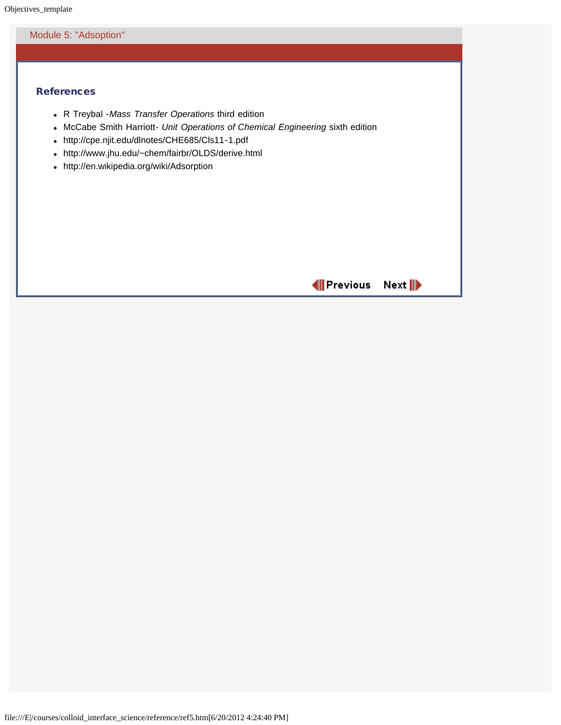#### Module 5: "Adsoption"

## **References**

- R Treybal -*Mass Transfer Operations* third edition
- McCabe Smith Harriott- *Unit Operations of Chemical Engineering* sixth edition
- http://cpe.njit.edu/dlnotes/CHE685/Cls11-1.pdf
- http://www.jhu.edu/~chem/fairbr/OLDS/derive.html
- http://en.wikipedia.org/wiki/Adsorption

MPrevious Next<sup>III</sup>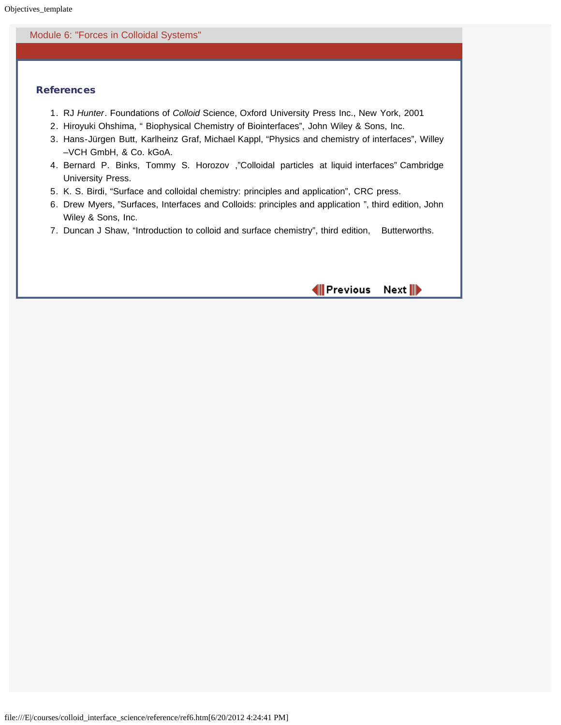### Module 6: "Forces in Colloidal Systems"

## References

- 1. RJ *Hunter*. Foundations of *Colloid* Science, Oxford University Press Inc., New York, 2001
- 2. Hiroyuki Ohshima, " Biophysical Chemistry of Biointerfaces", John Wiley & Sons, Inc.
- 3. Hans-Jürgen Butt, Karlheinz Graf, Michael Kappl, "Physics and chemistry of interfaces", Willey –VCH GmbH, & Co. kGoA.
- 4. Bernard P. Binks, Tommy S. Horozov ,"Colloidal particles at liquid interfaces" Cambridge University Press.
- 5. K. S. Birdi, "Surface and colloidal chemistry: principles and application", CRC press.
- 6. Drew Myers, "Surfaces, Interfaces and Colloids: principles and application ", third edition, John Wiley & Sons, Inc.
- 7. Duncan J Shaw, "Introduction to colloid and surface chemistry", third edition, Butterworths.

MIPrevious Next